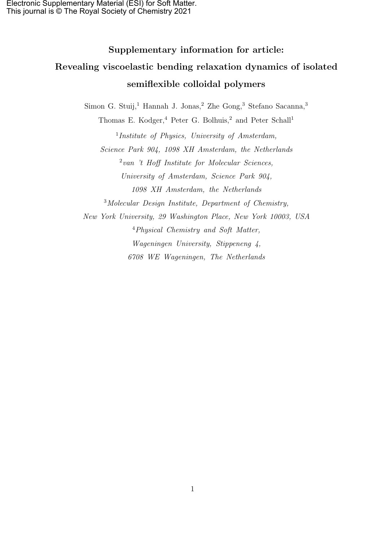# Supplementary information for article: Revealing viscoelastic bending relaxation dynamics of isolated semiflexible colloidal polymers

Simon G. Stuij,<sup>1</sup> Hannah J. Jonas,<sup>2</sup> Zhe Gong,<sup>3</sup> Stefano Sacanna,<sup>3</sup>

Thomas E. Kodger,<sup>4</sup> Peter G. Bolhuis,<sup>2</sup> and Peter Schall<sup>1</sup> <sup>1</sup>Institute of Physics, University of Amsterdam, Science Park 904, 1098 XH Amsterdam, the Netherlands 2 van 't Hoff Institute for Molecular Sciences, University of Amsterdam, Science Park 904, 1098 XH Amsterdam, the Netherlands <sup>3</sup>Molecular Design Institute, Department of Chemistry, New York University, 29 Washington Place, New York 10003, USA <sup>4</sup>Physical Chemistry and Soft Matter, Wageningen University, Stippeneng 4, 6708 WE Wageningen, The Netherlands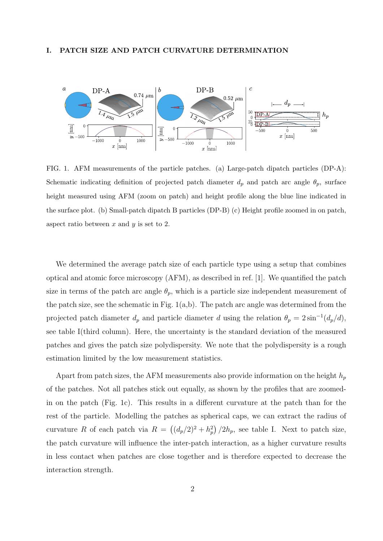#### I. PATCH SIZE AND PATCH CURVATURE DETERMINATION



FIG. 1. AFM measurements of the particle patches. (a) Large-patch dipatch particles (DP-A): Schematic indicating definition of projected patch diameter  $d_p$  and patch arc angle  $\theta_p$ , surface height measured using AFM (zoom on patch) and height profile along the blue line indicated in the surface plot. (b) Small-patch dipatch B particles (DP-B) (c) Height profile zoomed in on patch, aspect ratio between  $x$  and  $y$  is set to 2.

We determined the average patch size of each particle type using a setup that combines optical and atomic force microscopy (AFM), as described in ref. [1]. We quantified the patch size in terms of the patch arc angle  $\theta_p$ , which is a particle size independent measurement of the patch size, see the schematic in Fig.  $1(a,b)$ . The patch arc angle was determined from the projected patch diameter  $d_p$  and particle diameter d using the relation  $\theta_p = 2 \sin^{-1}(d_p/d)$ , see table I(third column). Here, the uncertainty is the standard deviation of the measured patches and gives the patch size polydispersity. We note that the polydispersity is a rough estimation limited by the low measurement statistics.

Apart from patch sizes, the AFM measurements also provide information on the height  $h_p$ of the patches. Not all patches stick out equally, as shown by the profiles that are zoomedin on the patch (Fig. 1c). This results in a different curvature at the patch than for the rest of the particle. Modelling the patches as spherical caps, we can extract the radius of curvature R of each patch via  $R = ((d_p/2)^2 + h_p^2)/2h_p$ , see table I. Next to patch size, the patch curvature will influence the inter-patch interaction, as a higher curvature results in less contact when patches are close together and is therefore expected to decrease the interaction strength.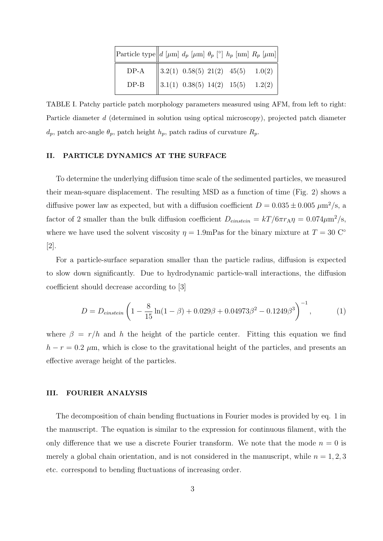| Particle type $d$ [ $\mu$ m] $d_p$ [ $\mu$ m] $\theta_p$ [ $\circ$ ] $h_p$ [nm] $R_p$ [ $\mu$ m] |  |                                                                                                                                                           |  |
|--------------------------------------------------------------------------------------------------|--|-----------------------------------------------------------------------------------------------------------------------------------------------------------|--|
| $DP-A$                                                                                           |  | $\begin{tabular}{ l c c c } \hline 3.2(1) & 0.58(5) & 21(2) & 45(5) & 1.0(2) \\ \hline 3.1(1) & 0.38(5) & 14(2) & 15(5) & 1.2(2) \\ \hline \end{tabular}$ |  |
| $DP-B$                                                                                           |  |                                                                                                                                                           |  |

TABLE I. Patchy particle patch morphology parameters measured using AFM, from left to right: Particle diameter d (determined in solution using optical microscopy), projected patch diameter  $d_p$ , patch arc-angle  $\theta_p$ , patch height  $h_p$ , patch radius of curvature  $R_p$ .

#### II. PARTICLE DYNAMICS AT THE SURFACE

To determine the underlying diffusion time scale of the sedimented particles, we measured their mean-square displacement. The resulting MSD as a function of time (Fig. 2) shows a diffusive power law as expected, but with a diffusion coefficient  $D = 0.035 \pm 0.005 \ \mu \text{m}^2/\text{s}$ , a factor of 2 smaller than the bulk diffusion coefficient  $D_{enstein} = kT/6\pi r_A \eta = 0.074 \mu m^2/s$ , where we have used the solvent viscosity  $\eta = 1.9$ mPas for the binary mixture at  $T = 30$  C<sup>°</sup> [2].

For a particle-surface separation smaller than the particle radius, diffusion is expected to slow down significantly. Due to hydrodynamic particle-wall interactions, the diffusion coefficient should decrease according to [3]

$$
D = D_{\text{einstein}} \left( 1 - \frac{8}{15} \ln(1 - \beta) + 0.029\beta + 0.04973\beta^2 - 0.1249\beta^3 \right)^{-1},\tag{1}
$$

where  $\beta = r/h$  and h the height of the particle center. Fitting this equation we find  $h - r = 0.2 \mu$ m, which is close to the gravitational height of the particles, and presents an effective average height of the particles.

## III. FOURIER ANALYSIS

The decomposition of chain bending fluctuations in Fourier modes is provided by eq. 1 in the manuscript. The equation is similar to the expression for continuous filament, with the only difference that we use a discrete Fourier transform. We note that the mode  $n = 0$  is merely a global chain orientation, and is not considered in the manuscript, while  $n = 1, 2, 3$ etc. correspond to bending fluctuations of increasing order.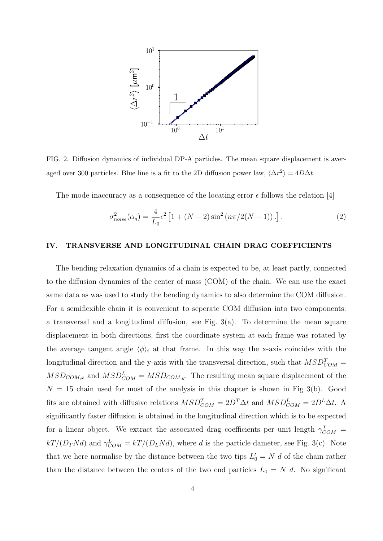

FIG. 2. Diffusion dynamics of individual DP-A particles. The mean square displacement is averaged over 300 particles. Blue line is a fit to the 2D diffusion power law,  $\langle \Delta r^2 \rangle = 4D\Delta t$ .

The mode inaccuracy as a consequence of the locating error  $\epsilon$  follows the relation [4]

$$
\sigma_{noise}^2(\alpha_q) = \frac{4}{L_0} \epsilon^2 \left[ 1 + (N - 2) \sin^2 \left( n \pi / 2(N - 1) \right) . \right]. \tag{2}
$$

## IV. TRANSVERSE AND LONGITUDINAL CHAIN DRAG COEFFICIENTS

The bending relaxation dynamics of a chain is expected to be, at least partly, connected to the diffusion dynamics of the center of mass (COM) of the chain. We can use the exact same data as was used to study the bending dynamics to also determine the COM diffusion. For a semiflexible chain it is convenient to seperate COM diffusion into two components: a transversal and a longitudinal diffusion, see Fig.  $3(a)$ . To determine the mean square displacement in both directions, first the coordinate system at each frame was rotated by the average tangent angle  $\langle \phi \rangle_i$  at that frame. In this way the x-axis coincides with the longitudinal direction and the y-axis with the transversal direction, such that  $MSD_{COM}^T =$  $MSD_{COM,x}$  and  $MSD_{COM}^L = MSD_{COM,y}$ . The resulting mean square displacement of the  $N = 15$  chain used for most of the analysis in this chapter is shown in Fig 3(b). Good fits are obtained with diffusive relations  $MSD_{COM}^T = 2D^T \Delta t$  and  $MSD_{COM}^L = 2D^L \Delta t$ . A significantly faster diffusion is obtained in the longitudinal direction which is to be expected for a linear object. We extract the associated drag coefficients per unit length  $\gamma_{COM}^T =$  $kT/(D_T N d)$  and  $\gamma_{COM}^L = kT/(D_L N d)$ , where d is the particle dameter, see Fig. 3(c). Note that we here normalise by the distance between the two tips  $L'_0 = N d$  of the chain rather than the distance between the centers of the two end particles  $L_0 = N d$ . No significant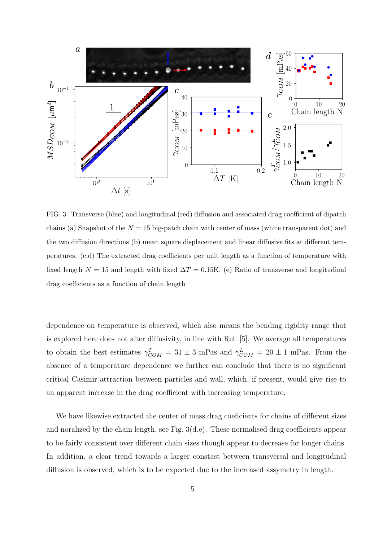

FIG. 3. Transverse (blue) and longitudinal (red) diffusion and associated drag coefficient of dipatch chains (a) Snapshot of the  $N = 15$  big-patch chain with center of mass (white transparent dot) and the two diffusion directions (b) mean square displacement and linear diffusive fits at different temperatures. (c,d) The extracted drag coefficients per unit length as a function of temperature with fixed length  $N = 15$  and length with fixed  $\Delta T = 0.15$ K. (e) Ratio of transverse and longitudinal drag coefficients as a function of chain length

dependence on temperature is observed, which also means the bending rigidity range that is explored here does not alter diffusivity, in line with Ref. [5]. We average all temperatures to obtain the best estimates  $\gamma_{COM}^T = 31 \pm 3$  mPas and  $\gamma_{COM}^L = 20 \pm 1$  mPas. From the absence of a temperature dependence we further can conclude that there is no significant critical Casimir attraction between particles and wall, which, if present, would give rise to an apparent increase in the drag coefficient with increasing temperature.

We have likewise extracted the center of mass drag coeficients for chains of different sizes and noralized by the chain length, see Fig.  $3(d,e)$ . These normalised drag coefficients appear to be fairly consistent over different chain sizes though appear to decrease for longer chains. In addition, a clear trend towards a larger constast between transversal and longitudinal diffusion is observed, which is to be expected due to the increased assymetry in length.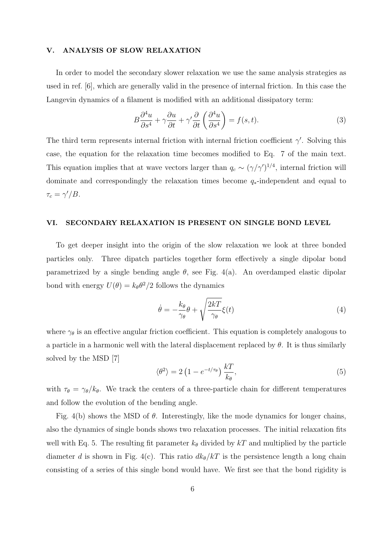#### V. ANALYSIS OF SLOW RELAXATION

In order to model the secondary slower relaxation we use the same analysis strategies as used in ref. [6], which are generally valid in the presence of internal friction. In this case the Langevin dynamics of a filament is modified with an additional dissipatory term:

$$
B\frac{\partial^4 u}{\partial s^4} + \gamma \frac{\partial u}{\partial t} + \gamma' \frac{\partial}{\partial t} \left(\frac{\partial^4 u}{\partial s^4}\right) = f(s, t). \tag{3}
$$

The third term represents internal friction with internal friction coefficient  $\gamma'$ . Solving this case, the equation for the relaxation time becomes modified to Eq. 7 of the main text. This equation implies that at wave vectors larger than  $q_c \sim (\gamma/\gamma')^{1/4}$ , internal friction will dominate and correspondingly the relaxation times become q∗-independent and equal to  $\tau_c = \gamma'/B$ .

## VI. SECONDARY RELAXATION IS PRESENT ON SINGLE BOND LEVEL

To get deeper insight into the origin of the slow relaxation we look at three bonded particles only. Three dipatch particles together form effectively a single dipolar bond parametrized by a single bending angle  $\theta$ , see Fig. 4(a). An overdamped elastic dipolar bond with energy  $U(\theta) = k_{\theta} \theta^2/2$  follows the dynamics

$$
\dot{\theta} = -\frac{k_{\theta}}{\gamma_{\theta}}\theta + \sqrt{\frac{2kT}{\gamma_{\theta}}}\xi(t)
$$
\n(4)

where  $\gamma_{\theta}$  is an effective angular friction coefficient. This equation is completely analogous to a particle in a harmonic well with the lateral displacement replaced by  $\theta$ . It is thus similarly solved by the MSD [7]

$$
\langle \theta^2 \rangle = 2 \left( 1 - e^{-t/\tau_\theta} \right) \frac{kT}{k_\theta},\tag{5}
$$

with  $\tau_{\theta} = \gamma_{\theta}/k_{\theta}$ . We track the centers of a three-particle chain for different temperatures and follow the evolution of the bending angle.

Fig. 4(b) shows the MSD of  $\theta$ . Interestingly, like the mode dynamics for longer chains, also the dynamics of single bonds shows two relaxation processes. The initial relaxation fits well with Eq. 5. The resulting fit parameter  $k_{\theta}$  divided by kT and multiplied by the particle diameter d is shown in Fig. 4(c). This ratio  $dk_{\theta}/kT$  is the persistence length a long chain consisting of a series of this single bond would have. We first see that the bond rigidity is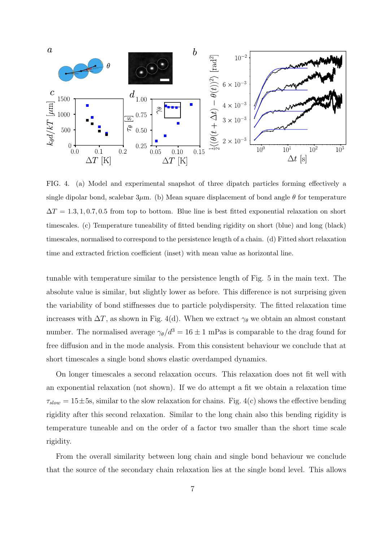

FIG. 4. (a) Model and experimental snapshot of three dipatch particles forming effectively a single dipolar bond, scalebar  $3\mu$ m. (b) Mean square displacement of bond angle  $\theta$  for temperature  $\Delta T = 1.3, 1, 0.7, 0.5$  from top to bottom. Blue line is best fitted exponential relaxation on short timescales. (c) Temperature tuneability of fitted bending rigidity on short (blue) and long (black) timescales, normalised to correspond to the persistence length of a chain. (d) Fitted short relaxation time and extracted friction coefficient (inset) with mean value as horizontal line.

tunable with temperature similar to the persistence length of Fig. 5 in the main text. The absolute value is similar, but slightly lower as before. This difference is not surprising given the variability of bond stiffnesses due to particle polydispersity. The fitted relaxation time increases with  $\Delta T$ , as shown in Fig. 4(d). When we extract  $\gamma_{\theta}$  we obtain an almost constant number. The normalised average  $\gamma_{\theta}/d^3 = 16 \pm 1$  mPas is comparable to the drag found for free diffusion and in the mode analysis. From this consistent behaviour we conclude that at short timescales a single bond shows elastic overdamped dynamics.

On longer timescales a second relaxation occurs. This relaxation does not fit well with an exponential relaxation (not shown). If we do attempt a fit we obtain a relaxation time  $\tau_{slow} = 15 \pm 5$ s, similar to the slow relaxation for chains. Fig. 4(c) shows the effective bending rigidity after this second relaxation. Similar to the long chain also this bending rigidity is temperature tuneable and on the order of a factor two smaller than the short time scale rigidity.

From the overall similarity between long chain and single bond behaviour we conclude that the source of the secondary chain relaxation lies at the single bond level. This allows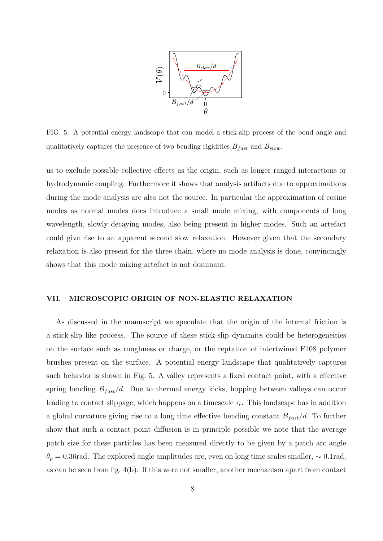

FIG. 5. A potential energy landscape that can model a stick-slip process of the bond angle and qualitatively captures the presence of two bending rigidities  $B_{fast}$  and  $B_{slow}$ .

us to exclude possible collective effects as the origin, such as longer ranged interactions or hydrodynamic coupling. Furthermore it shows that analysis artifacts due to approximations during the mode analysis are also not the source. In particular the approximation of cosine modes as normal modes does introduce a small mode mixing, with components of long wavelength, slowly decaying modes, also being present in higher modes. Such an artefact could give rise to an apparent second slow relaxation. However given that the secondary relaxation is also present for the three chain, where no mode analysis is done, convincingly shows that this mode mixing artefact is not dominant.

#### VII. MICROSCOPIC ORIGIN OF NON-ELASTIC RELAXATION

As discussed in the manuscript we speculate that the origin of the internal friction is a stick-slip like process. The source of these stick-slip dynamics could be heterogeneities on the surface such as roughness or charge, or the reptation of intertwined F108 polymer brushes present on the surface. A potential energy landscape that qualitatively captures such behavior is shown in Fig. 5. A valley represents a fixed contact point, with a effective spring bending  $B_{fast}/d$ . Due to thermal energy kicks, hopping between valleys can occur leading to contact slippage, which happens on a timescale  $\tau_c$ . This landscape has in addition a global curvature giving rise to a long time effective bending constant  $B_{fast}/d$ . To further show that such a contact point diffusion is in principle possible we note that the average patch size for these particles has been measured directly to be given by a patch arc angle  $\theta_p = 0.36$  rad. The explored angle amplitudes are, even on long time scales smaller,  $\sim 0.1$  rad, as can be seen from fig. 4(b). If this were not smaller, another mechanism apart from contact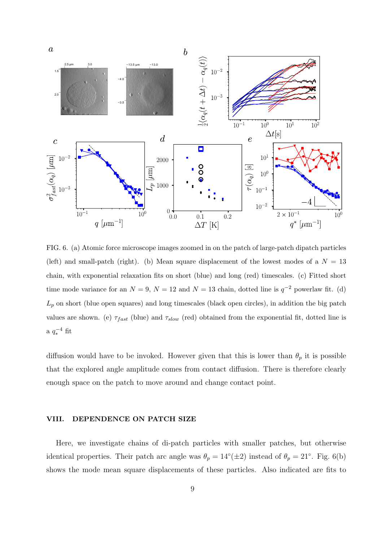

FIG. 6. (a) Atomic force microscope images zoomed in on the patch of large-patch dipatch particles (left) and small-patch (right). (b) Mean square displacement of the lowest modes of a  $N = 13$ chain, with exponential relaxation fits on short (blue) and long (red) timescales. (c) Fitted short time mode variance for an  $N = 9$ ,  $N = 12$  and  $N = 13$  chain, dotted line is  $q^{-2}$  powerlaw fit. (d)  $L_p$  on short (blue open squares) and long timescales (black open circles), in addition the big patch values are shown. (e)  $\tau_{fast}$  (blue) and  $\tau_{slow}$  (red) obtained from the exponential fit, dotted line is a  $q_*^{-4}$  fit

diffusion would have to be invoked. However given that this is lower than  $\theta_p$  it is possible that the explored angle amplitude comes from contact diffusion. There is therefore clearly enough space on the patch to move around and change contact point.

#### VIII. DEPENDENCE ON PATCH SIZE

Here, we investigate chains of di-patch particles with smaller patches, but otherwise identical properties. Their patch arc angle was  $\theta_p = 14^{\circ}(\pm 2)$  instead of  $\theta_p = 21^{\circ}$ . Fig. 6(b) shows the mode mean square displacements of these particles. Also indicated are fits to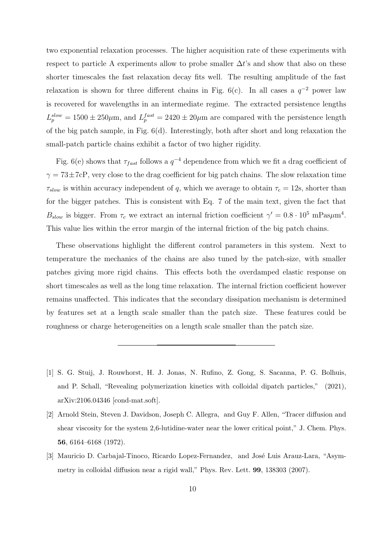two exponential relaxation processes. The higher acquisition rate of these experiments with respect to particle A experiments allow to probe smaller  $\Delta t$ 's and show that also on these shorter timescales the fast relaxation decay fits well. The resulting amplitude of the fast relaxation is shown for three different chains in Fig. 6(c). In all cases a  $q^{-2}$  power law is recovered for wavelengths in an intermediate regime. The extracted persistence lengths  $L_p^{slow} = 1500 \pm 250 \mu$ m, and  $L_p^{fast} = 2420 \pm 20 \mu$ m are compared with the persistence length of the big patch sample, in Fig. 6(d). Interestingly, both after short and long relaxation the small-patch particle chains exhibit a factor of two higher rigidity.

Fig. 6(e) shows that  $\tau_{fast}$  follows a  $q^{-4}$  dependence from which we fit a drag coefficient of  $\gamma = 73 \pm 7$ cP, very close to the drag coefficient for big patch chains. The slow relaxation time  $\tau_{slow}$  is within accuracy independent of q, which we average to obtain  $\tau_c = 12$ s, shorter than for the bigger patches. This is consistent with Eq. 7 of the main text, given the fact that  $B_{slow}$  is bigger. From  $\tau_c$  we extract an internal friction coefficient  $\gamma' = 0.8 \cdot 10^5$  mPas $\mu$ m<sup>4</sup>. This value lies within the error margin of the internal friction of the big patch chains.

These observations highlight the different control parameters in this system. Next to temperature the mechanics of the chains are also tuned by the patch-size, with smaller patches giving more rigid chains. This effects both the overdamped elastic response on short timescales as well as the long time relaxation. The internal friction coefficient however remains unaffected. This indicates that the secondary dissipation mechanism is determined by features set at a length scale smaller than the patch size. These features could be roughness or charge heterogeneities on a length scale smaller than the patch size.

<sup>[1]</sup> S. G. Stuij, J. Rouwhorst, H. J. Jonas, N. Rufino, Z. Gong, S. Sacanna, P. G. Bolhuis, and P. Schall, "Revealing polymerization kinetics with colloidal dipatch particles," (2021), arXiv:2106.04346 [cond-mat.soft].

<sup>[2]</sup> Arnold Stein, Steven J. Davidson, Joseph C. Allegra, and Guy F. Allen, "Tracer diffusion and shear viscosity for the system 2,6-lutidine-water near the lower critical point," J. Chem. Phys. 56, 6164–6168 (1972).

<sup>[3]</sup> Mauricio D. Carbajal-Tinoco, Ricardo Lopez-Fernandez, and José Luis Arauz-Lara, "Asymmetry in colloidal diffusion near a rigid wall," Phys. Rev. Lett. 99, 138303 (2007).